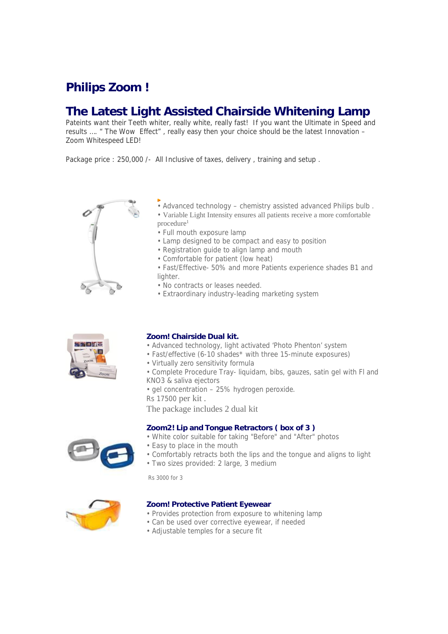# **Philips Zoom !**

## **The Latest Light Assisted Chairside Whitening Lamp**

Pateints want their Teeth whiter, really white, really fast! If you want the Ultimate in Speed and results …. " The Wow Effect" , really easy then your choice should be the latest Innovation – Zoom Whitespeed LED!

Package price : 250,000 /- All Inclusive of taxes, delivery, training and setup.





- Advanced technology chemistry assisted advanced Philips bulb .
- Variable Light Intensity ensures all patients receive a more comfortable procedure<sup>1</sup>
- Full mouth exposure lamp
- Lamp designed to be compact and easy to position
- Registration guide to align lamp and mouth
- Comfortable for patient (low heat)
- Fast/Effective- 50% and more Patients experience shades B1 and lighter.
- No contracts or leases needed.
- Extraordinary industry-leading marketing system

## **Zoom! Chairside Dual kit.**

- Advanced technology, light activated 'Photo Phenton' system
- Fast/effective (6-10 shades\* with three 15-minute exposures)
- Virtually zero sensitivity formula
- Complete Procedure Tray- liquidam, bibs, gauzes, satin gel with Fl and KNO3 & saliva ejectors
- gel concentration 25% hydrogen peroxide.
- Rs 17500 per kit .

The package includes 2 dual kit

## **Zoom2! Lip and Tongue Retractors ( box of 3 )**

- White color suitable for taking "Before" and "After" photos
- Easy to place in the mouth
- Comfortably retracts both the lips and the tongue and aligns to light • Two sizes provided: 2 large, 3 medium

Rs 3000 for 3



#### **Zoom! Protective Patient Eyewear**

- Provides protection from exposure to whitening lamp
- Can be used over corrective eyewear, if needed
- Adjustable temples for a secure fit